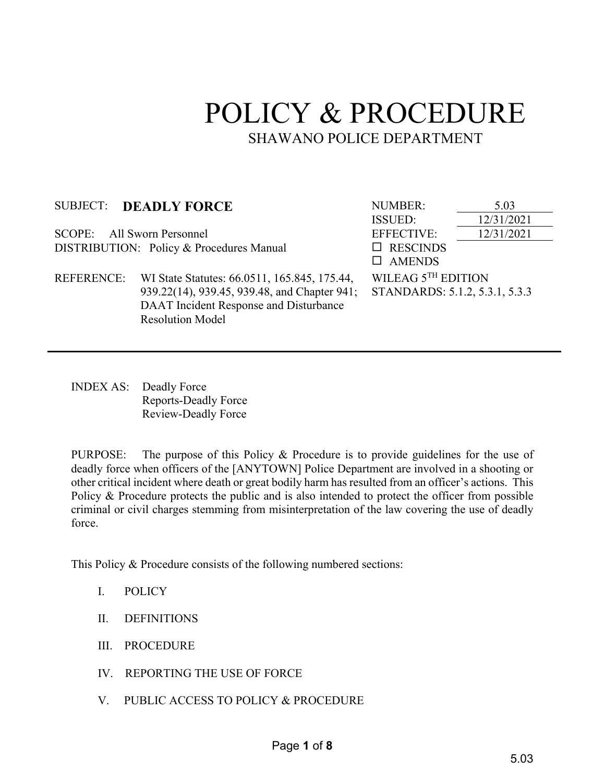# POLICY & PROCEDURE SHAWANO POLICE DEPARTMENT

| <b>SUBJECT:</b>                          | <b>DEADLY FORCE</b>                          | <b>NUMBER:</b>                                       | 5.03       |
|------------------------------------------|----------------------------------------------|------------------------------------------------------|------------|
|                                          |                                              | <b>ISSUED:</b>                                       | 12/31/2021 |
| SCOPE: All Sworn Personnel               |                                              | <b>EFFECTIVE:</b>                                    | 12/31/2021 |
| DISTRIBUTION: Policy & Procedures Manual |                                              | $\Box$ RESCINDS                                      |            |
|                                          |                                              | $\Box$ AMENDS                                        |            |
| <b>REFERENCE:</b>                        | WI State Statutes: 66.0511, 165.845, 175.44, | WILEAG 5TH EDITION<br>STANDARDS: 5.1.2, 5.3.1, 5.3.3 |            |
|                                          | 939.22(14), 939.45, 939.48, and Chapter 941; |                                                      |            |
|                                          | DAAT Incident Response and Disturbance       |                                                      |            |
|                                          | <b>Resolution Model</b>                      |                                                      |            |
|                                          |                                              |                                                      |            |

INDEX AS: Deadly Force Reports-Deadly Force Review-Deadly Force

PURPOSE: The purpose of this Policy & Procedure is to provide guidelines for the use of deadly force when officers of the [ANYTOWN] Police Department are involved in a shooting or other critical incident where death or great bodily harm has resulted from an officer's actions. This Policy & Procedure protects the public and is also intended to protect the officer from possible criminal or civil charges stemming from misinterpretation of the law covering the use of deadly force.

This Policy & Procedure consists of the following numbered sections:

- I. POLICY
- II. DEFINITIONS
- III. PROCEDURE
- IV. REPORTING THE USE OF FORCE
- V. PUBLIC ACCESS TO POLICY & PROCEDURE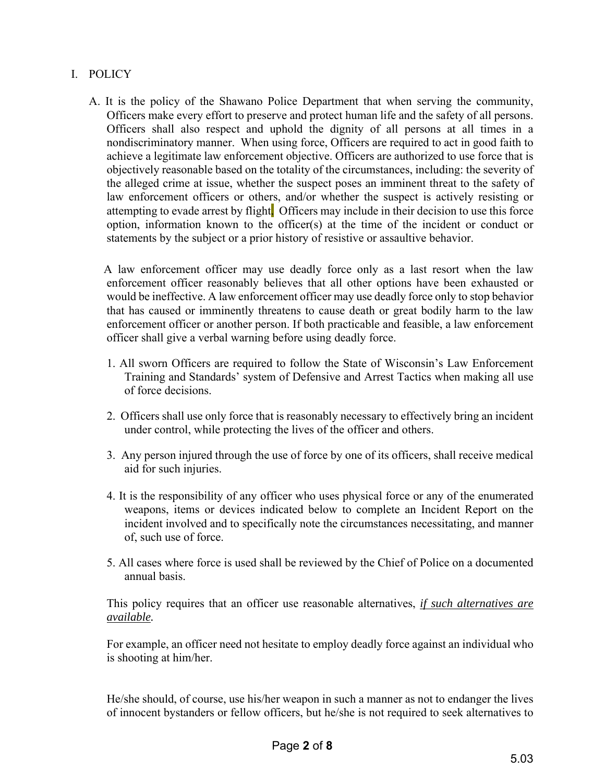### I. POLICY

A. It is the policy of the Shawano Police Department that when serving the community, Officers make every effort to preserve and protect human life and the safety of all persons. Officers shall also respect and uphold the dignity of all persons at all times in a nondiscriminatory manner. When using force, Officers are required to act in good faith to achieve a legitimate law enforcement objective. Officers are authorized to use force that is objectively reasonable based on the totality of the circumstances, including: the severity of the alleged crime at issue, whether the suspect poses an imminent threat to the safety of law enforcement officers or others, and/or whether the suspect is actively resisting or attempting to evade arrest by flight. Officers may include in their decision to use this force option, information known to the officer(s) at the time of the incident or conduct or statements by the subject or a prior history of resistive or assaultive behavior.

 A law enforcement officer may use deadly force only as a last resort when the law enforcement officer reasonably believes that all other options have been exhausted or would be ineffective. A law enforcement officer may use deadly force only to stop behavior that has caused or imminently threatens to cause death or great bodily harm to the law enforcement officer or another person. If both practicable and feasible, a law enforcement officer shall give a verbal warning before using deadly force.

- 1. All sworn Officers are required to follow the State of Wisconsin's Law Enforcement Training and Standards' system of Defensive and Arrest Tactics when making all use of force decisions.
- 2. Officers shall use only force that is reasonably necessary to effectively bring an incident under control, while protecting the lives of the officer and others.
- 3. Any person injured through the use of force by one of its officers, shall receive medical aid for such injuries.
- 4. It is the responsibility of any officer who uses physical force or any of the enumerated weapons, items or devices indicated below to complete an Incident Report on the incident involved and to specifically note the circumstances necessitating, and manner of, such use of force.
- 5. All cases where force is used shall be reviewed by the Chief of Police on a documented annual basis.

This policy requires that an officer use reasonable alternatives, *if such alternatives are available.*

For example, an officer need not hesitate to employ deadly force against an individual who is shooting at him/her.

He/she should, of course, use his/her weapon in such a manner as not to endanger the lives of innocent bystanders or fellow officers, but he/she is not required to seek alternatives to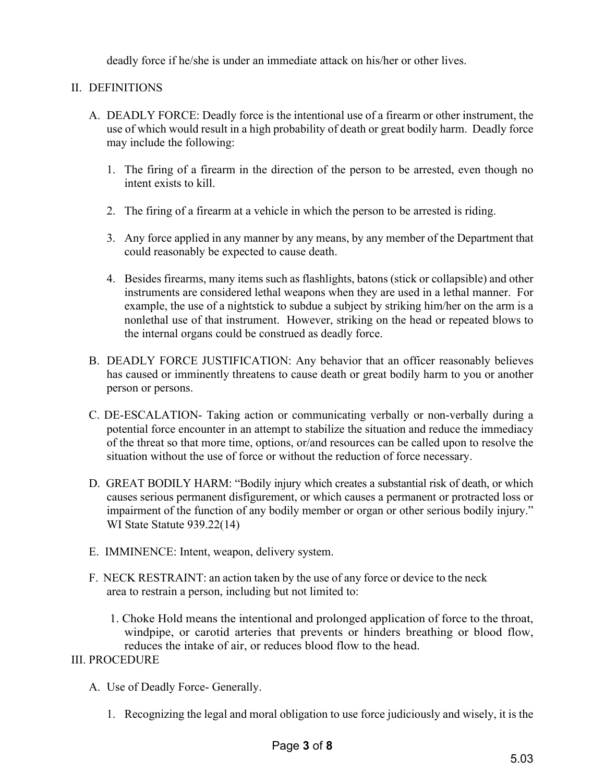deadly force if he/she is under an immediate attack on his/her or other lives.

### II. DEFINITIONS

- A. DEADLY FORCE: Deadly force is the intentional use of a firearm or other instrument, the use of which would result in a high probability of death or great bodily harm. Deadly force may include the following:
	- 1. The firing of a firearm in the direction of the person to be arrested, even though no intent exists to kill.
	- 2. The firing of a firearm at a vehicle in which the person to be arrested is riding.
	- 3. Any force applied in any manner by any means, by any member of the Department that could reasonably be expected to cause death.
	- 4. Besides firearms, many items such as flashlights, batons (stick or collapsible) and other instruments are considered lethal weapons when they are used in a lethal manner. For example, the use of a nightstick to subdue a subject by striking him/her on the arm is a nonlethal use of that instrument. However, striking on the head or repeated blows to the internal organs could be construed as deadly force.
- B. DEADLY FORCE JUSTIFICATION: Any behavior that an officer reasonably believes has caused or imminently threatens to cause death or great bodily harm to you or another person or persons.
- C. DE-ESCALATION- Taking action or communicating verbally or non-verbally during a potential force encounter in an attempt to stabilize the situation and reduce the immediacy of the threat so that more time, options, or/and resources can be called upon to resolve the situation without the use of force or without the reduction of force necessary.
- D. GREAT BODILY HARM: "Bodily injury which creates a substantial risk of death, or which causes serious permanent disfigurement, or which causes a permanent or protracted loss or impairment of the function of any bodily member or organ or other serious bodily injury." WI State Statute 939.22(14)
- E. IMMINENCE: Intent, weapon, delivery system.
- F. NECK RESTRAINT: an action taken by the use of any force or device to the neck area to restrain a person, including but not limited to:
	- 1. Choke Hold means the intentional and prolonged application of force to the throat, windpipe, or carotid arteries that prevents or hinders breathing or blood flow, reduces the intake of air, or reduces blood flow to the head.

#### III. PROCEDURE

- A. Use of Deadly Force- Generally.
	- 1. Recognizing the legal and moral obligation to use force judiciously and wisely, it is the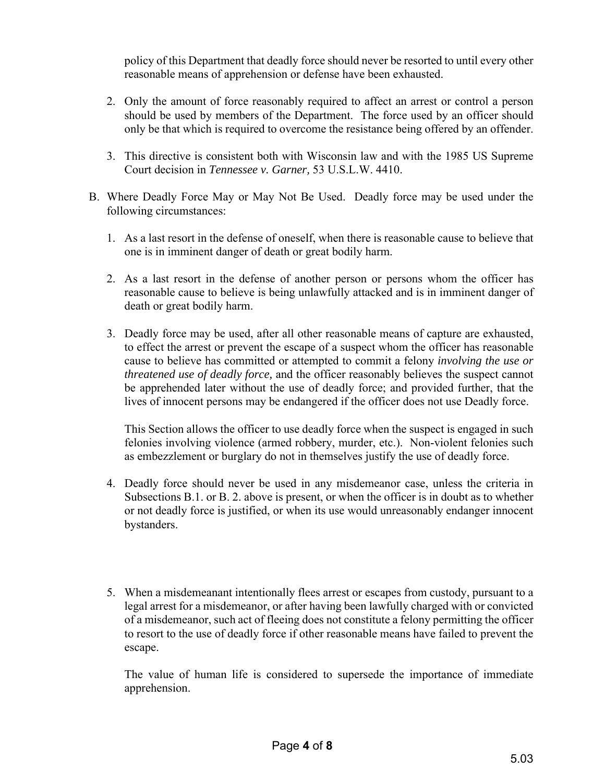policy of this Department that deadly force should never be resorted to until every other reasonable means of apprehension or defense have been exhausted.

- 2. Only the amount of force reasonably required to affect an arrest or control a person should be used by members of the Department. The force used by an officer should only be that which is required to overcome the resistance being offered by an offender.
- 3. This directive is consistent both with Wisconsin law and with the 1985 US Supreme Court decision in *Tennessee v. Garner,* 53 U.S.L.W. 4410.
- B. Where Deadly Force May or May Not Be Used. Deadly force may be used under the following circumstances:
	- 1. As a last resort in the defense of oneself, when there is reasonable cause to believe that one is in imminent danger of death or great bodily harm.
	- 2. As a last resort in the defense of another person or persons whom the officer has reasonable cause to believe is being unlawfully attacked and is in imminent danger of death or great bodily harm.
	- 3. Deadly force may be used, after all other reasonable means of capture are exhausted, to effect the arrest or prevent the escape of a suspect whom the officer has reasonable cause to believe has committed or attempted to commit a felony *involving the use or threatened use of deadly force,* and the officer reasonably believes the suspect cannot be apprehended later without the use of deadly force; and provided further, that the lives of innocent persons may be endangered if the officer does not use Deadly force.

This Section allows the officer to use deadly force when the suspect is engaged in such felonies involving violence (armed robbery, murder, etc.). Non-violent felonies such as embezzlement or burglary do not in themselves justify the use of deadly force.

- 4. Deadly force should never be used in any misdemeanor case, unless the criteria in Subsections B.1. or B. 2. above is present, or when the officer is in doubt as to whether or not deadly force is justified, or when its use would unreasonably endanger innocent bystanders.
- 5. When a misdemeanant intentionally flees arrest or escapes from custody, pursuant to a legal arrest for a misdemeanor, or after having been lawfully charged with or convicted of a misdemeanor, such act of fleeing does not constitute a felony permitting the officer to resort to the use of deadly force if other reasonable means have failed to prevent the escape.

The value of human life is considered to supersede the importance of immediate apprehension.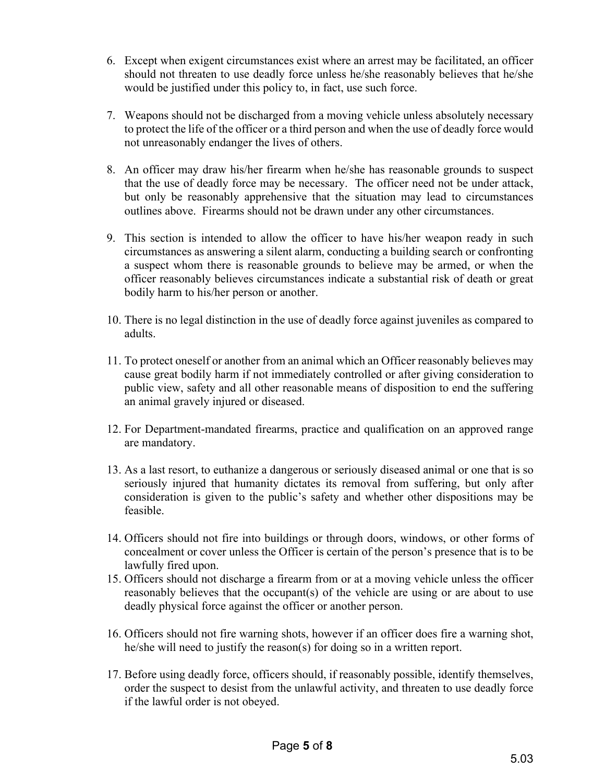- 6. Except when exigent circumstances exist where an arrest may be facilitated, an officer should not threaten to use deadly force unless he/she reasonably believes that he/she would be justified under this policy to, in fact, use such force.
- 7. Weapons should not be discharged from a moving vehicle unless absolutely necessary to protect the life of the officer or a third person and when the use of deadly force would not unreasonably endanger the lives of others.
- 8. An officer may draw his/her firearm when he/she has reasonable grounds to suspect that the use of deadly force may be necessary. The officer need not be under attack, but only be reasonably apprehensive that the situation may lead to circumstances outlines above. Firearms should not be drawn under any other circumstances.
- 9. This section is intended to allow the officer to have his/her weapon ready in such circumstances as answering a silent alarm, conducting a building search or confronting a suspect whom there is reasonable grounds to believe may be armed, or when the officer reasonably believes circumstances indicate a substantial risk of death or great bodily harm to his/her person or another.
- 10. There is no legal distinction in the use of deadly force against juveniles as compared to adults.
- 11. To protect oneself or another from an animal which an Officer reasonably believes may cause great bodily harm if not immediately controlled or after giving consideration to public view, safety and all other reasonable means of disposition to end the suffering an animal gravely injured or diseased.
- 12. For Department-mandated firearms, practice and qualification on an approved range are mandatory.
- 13. As a last resort, to euthanize a dangerous or seriously diseased animal or one that is so seriously injured that humanity dictates its removal from suffering, but only after consideration is given to the public's safety and whether other dispositions may be feasible.
- 14. Officers should not fire into buildings or through doors, windows, or other forms of concealment or cover unless the Officer is certain of the person's presence that is to be lawfully fired upon.
- 15. Officers should not discharge a firearm from or at a moving vehicle unless the officer reasonably believes that the occupant(s) of the vehicle are using or are about to use deadly physical force against the officer or another person.
- 16. Officers should not fire warning shots, however if an officer does fire a warning shot, he/she will need to justify the reason(s) for doing so in a written report.
- 17. Before using deadly force, officers should, if reasonably possible, identify themselves, order the suspect to desist from the unlawful activity, and threaten to use deadly force if the lawful order is not obeyed.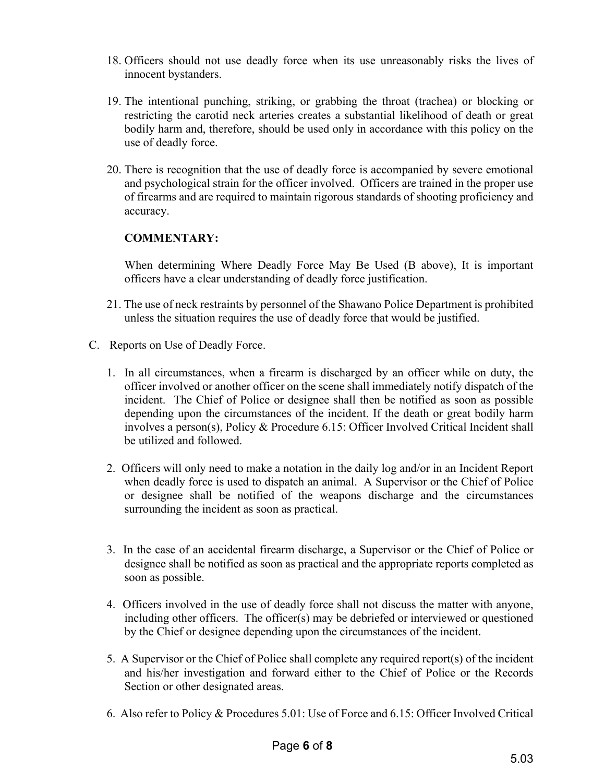- 18. Officers should not use deadly force when its use unreasonably risks the lives of innocent bystanders.
- 19. The intentional punching, striking, or grabbing the throat (trachea) or blocking or restricting the carotid neck arteries creates a substantial likelihood of death or great bodily harm and, therefore, should be used only in accordance with this policy on the use of deadly force.
- 20. There is recognition that the use of deadly force is accompanied by severe emotional and psychological strain for the officer involved. Officers are trained in the proper use of firearms and are required to maintain rigorous standards of shooting proficiency and accuracy.

## **COMMENTARY:**

When determining Where Deadly Force May Be Used (B above), It is important officers have a clear understanding of deadly force justification.

- 21. The use of neck restraints by personnel of the Shawano Police Department is prohibited unless the situation requires the use of deadly force that would be justified.
- C. Reports on Use of Deadly Force.
	- 1. In all circumstances, when a firearm is discharged by an officer while on duty, the officer involved or another officer on the scene shall immediately notify dispatch of the incident. The Chief of Police or designee shall then be notified as soon as possible depending upon the circumstances of the incident. If the death or great bodily harm involves a person(s), Policy & Procedure 6.15: Officer Involved Critical Incident shall be utilized and followed.
	- 2. Officers will only need to make a notation in the daily log and/or in an Incident Report when deadly force is used to dispatch an animal. A Supervisor or the Chief of Police or designee shall be notified of the weapons discharge and the circumstances surrounding the incident as soon as practical.
	- 3. In the case of an accidental firearm discharge, a Supervisor or the Chief of Police or designee shall be notified as soon as practical and the appropriate reports completed as soon as possible.
	- 4. Officers involved in the use of deadly force shall not discuss the matter with anyone, including other officers. The officer(s) may be debriefed or interviewed or questioned by the Chief or designee depending upon the circumstances of the incident.
	- 5. A Supervisor or the Chief of Police shall complete any required report(s) of the incident and his/her investigation and forward either to the Chief of Police or the Records Section or other designated areas.
	- 6. Also refer to Policy & Procedures 5.01: Use of Force and 6.15: Officer Involved Critical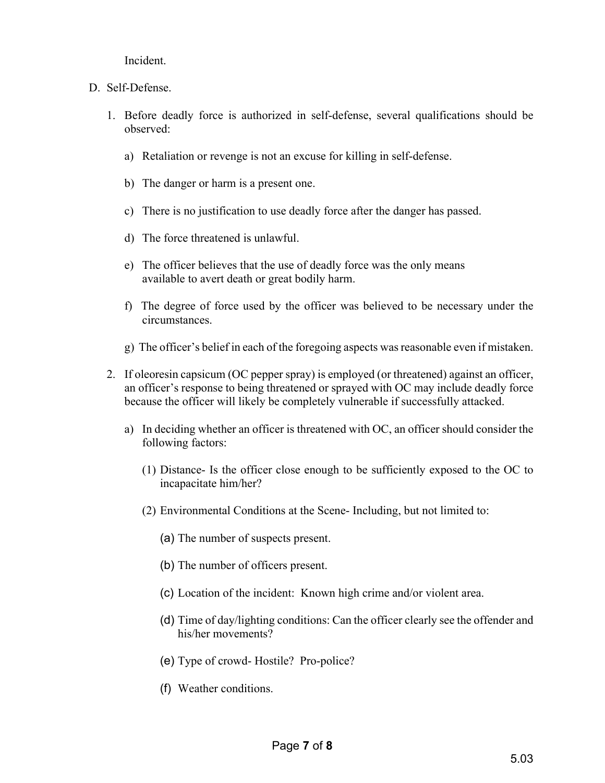Incident.

- D. Self-Defense.
	- 1. Before deadly force is authorized in self-defense, several qualifications should be observed:
		- a) Retaliation or revenge is not an excuse for killing in self-defense.
		- b) The danger or harm is a present one.
		- c) There is no justification to use deadly force after the danger has passed.
		- d) The force threatened is unlawful.
		- e) The officer believes that the use of deadly force was the only means available to avert death or great bodily harm.
		- f) The degree of force used by the officer was believed to be necessary under the circumstances.
		- g) The officer's belief in each of the foregoing aspects was reasonable even if mistaken.
	- 2. If oleoresin capsicum (OC pepper spray) is employed (or threatened) against an officer, an officer's response to being threatened or sprayed with OC may include deadly force because the officer will likely be completely vulnerable if successfully attacked.
		- a) In deciding whether an officer is threatened with OC, an officer should consider the following factors:
			- (1) Distance- Is the officer close enough to be sufficiently exposed to the OC to incapacitate him/her?
			- (2) Environmental Conditions at the Scene- Including, but not limited to:
				- (a) The number of suspects present.
				- (b) The number of officers present.
				- (c) Location of the incident: Known high crime and/or violent area.
				- (d) Time of day/lighting conditions: Can the officer clearly see the offender and his/her movements?
				- (e) Type of crowd- Hostile? Pro-police?
				- (f) Weather conditions.